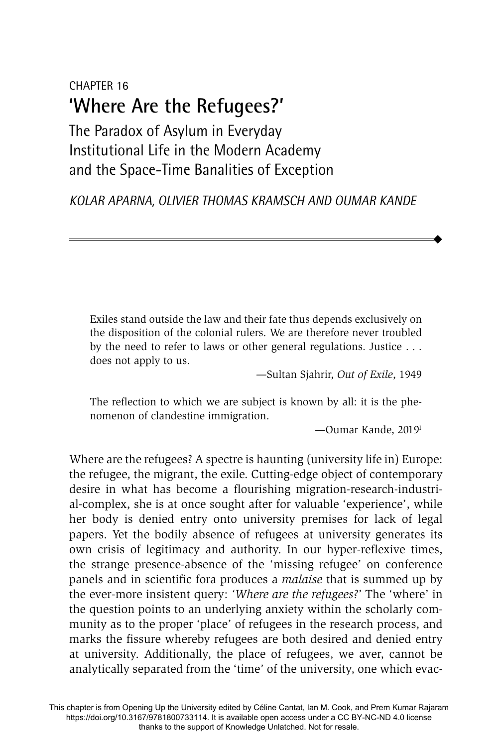# CHAPTER 16 **'Where Are the Refugees?'**

The Paradox of Asylum in Everyday Institutional Life in the Modern Academy and the Space-Time Banalities of Exception

*KOLAR APARNA, OLIVIER THOMAS KRAMSCH AND OUMAR KANDE*

Exiles stand outside the law and their fate thus depends exclusively on the disposition of the colonial rulers. We are therefore never troubled by the need to refer to laws or other general regulations. Justice . . . does not apply to us.

*—*Sultan Sjahrir, *Out of Exile*, 1949

The reflection to which we are subject is known by all: it is the phenomenon of clandestine immigration.

—Oumar Kande, 20191

 $\blacklozenge$ 

Where are the refugees? A spectre is haunting (university life in) Europe: the refugee, the migrant, the exile. Cutting-edge object of contemporary desire in what has become a flourishing migration-research-industrial-complex, she is at once sought after for valuable 'experience', while her body is denied entry onto university premises for lack of legal papers. Yet the bodily absence of refugees at university generates its own crisis of legitimacy and authority. In our hyper-reflexive times, the strange presence-absence of the 'missing refugee' on conference panels and in scientific fora produces a *malaise* that is summed up by the ever-more insistent query: *'Where are the refugees?'* The 'where' in the question points to an underlying anxiety within the scholarly community as to the proper 'place' of refugees in the research process, and marks the fissure whereby refugees are both desired and denied entry at university. Additionally, the place of refugees, we aver, cannot be analytically separated from the 'time' of the university, one which evac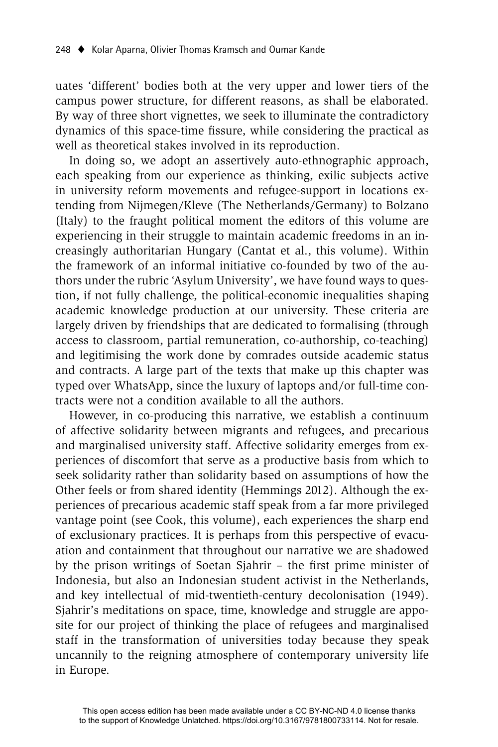uates 'different' bodies both at the very upper and lower tiers of the campus power structure, for different reasons, as shall be elaborated. By way of three short vignettes, we seek to illuminate the contradictory dynamics of this space-time fissure, while considering the practical as well as theoretical stakes involved in its reproduction.

In doing so, we adopt an assertively auto-ethnographic approach, each speaking from our experience as thinking, exilic subjects active in university reform movements and refugee-support in locations extending from Nijmegen/Kleve (The Netherlands/Germany) to Bolzano (Italy) to the fraught political moment the editors of this volume are experiencing in their struggle to maintain academic freedoms in an increasingly authoritarian Hungary (Cantat et al., this volume). Within the framework of an informal initiative co-founded by two of the authors under the rubric 'Asylum University', we have found ways to question, if not fully challenge, the political-economic inequalities shaping academic knowledge production at our university. These criteria are largely driven by friendships that are dedicated to formalising (through access to classroom, partial remuneration, co-authorship, co-teaching) and legitimising the work done by comrades outside academic status and contracts. A large part of the texts that make up this chapter was typed over WhatsApp, since the luxury of laptops and/or full-time contracts were not a condition available to all the authors.

However, in co-producing this narrative, we establish a continuum of affective solidarity between migrants and refugees, and precarious and marginalised university staff. Affective solidarity emerges from experiences of discomfort that serve as a productive basis from which to seek solidarity rather than solidarity based on assumptions of how the Other feels or from shared identity (Hemmings 2012). Although the experiences of precarious academic staff speak from a far more privileged vantage point (see Cook, this volume), each experiences the sharp end of exclusionary practices. It is perhaps from this perspective of evacuation and containment that throughout our narrative we are shadowed by the prison writings of Soetan Sjahrir - the first prime minister of Indonesia, but also an Indonesian student activist in the Netherlands, and key intellectual of mid-twentieth-century decolonisation (1949). Sjahrir's meditations on space, time, knowledge and struggle are apposite for our project of thinking the place of refugees and marginalised staff in the transformation of universities today because they speak uncannily to the reigning atmosphere of contemporary university life in Europe.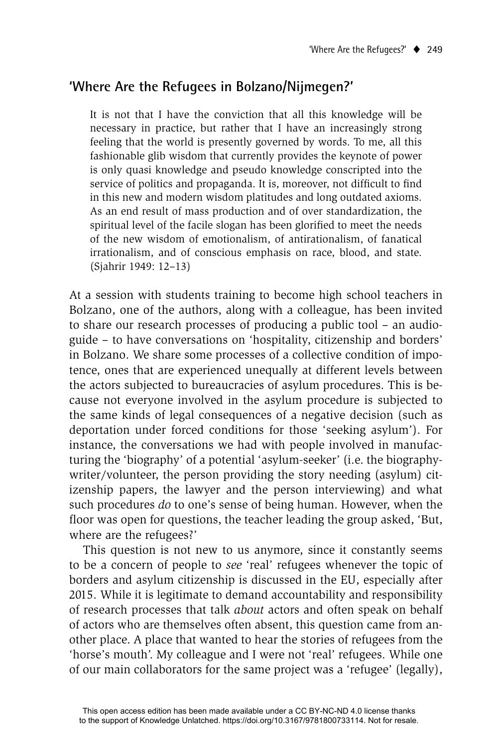## **'Where Are the Refugees in Bolzano/Nijmegen?'**

It is not that I have the conviction that all this knowledge will be necessary in practice, but rather that I have an increasingly strong feeling that the world is presently governed by words. To me, all this fashionable glib wisdom that currently provides the keynote of power is only quasi knowledge and pseudo knowledge conscripted into the service of politics and propaganda. It is, moreover, not difficult to find in this new and modern wisdom platitudes and long outdated axioms. As an end result of mass production and of over standardization, the spiritual level of the facile slogan has been glorified to meet the needs of the new wisdom of emotionalism, of antirationalism, of fanatical irrationalism, and of conscious emphasis on race, blood, and state. (Sjahrir 1949: 12–13)

At a session with students training to become high school teachers in Bolzano, one of the authors, along with a colleague, has been invited to share our research processes of producing a public tool – an audioguide – to have conversations on 'hospitality, citizenship and borders' in Bolzano. We share some processes of a collective condition of impotence, ones that are experienced unequally at different levels between the actors subjected to bureaucracies of asylum procedures. This is because not everyone involved in the asylum procedure is subjected to the same kinds of legal consequences of a negative decision (such as deportation under forced conditions for those 'seeking asylum'). For instance, the conversations we had with people involved in manufacturing the 'biography' of a potential 'asylum-seeker' (i.e. the biographywriter/volunteer, the person providing the story needing (asylum) citizenship papers, the lawyer and the person interviewing) and what such procedures *do* to one's sense of being human. However, when the floor was open for questions, the teacher leading the group asked, 'But, where are the refugees?'

This question is not new to us anymore, since it constantly seems to be a concern of people to *see* 'real' refugees whenever the topic of borders and asylum citizenship is discussed in the EU, especially after 2015. While it is legitimate to demand accountability and responsibility of research processes that talk *about* actors and often speak on behalf of actors who are themselves often absent, this question came from another place. A place that wanted to hear the stories of refugees from the 'horse's mouth'. My colleague and I were not 'real' refugees. While one of our main collaborators for the same project was a 'refugee' (legally),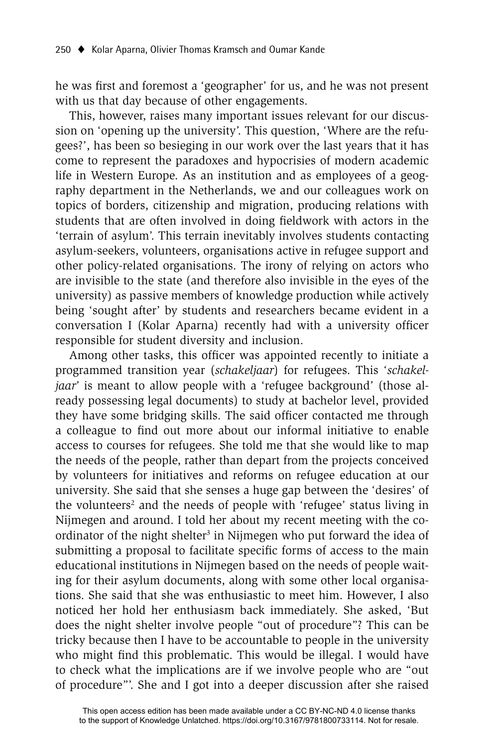he was first and foremost a 'geographer' for us, and he was not present with us that day because of other engagements.

This, however, raises many important issues relevant for our discussion on 'opening up the university'. This question, 'Where are the refugees?', has been so besieging in our work over the last years that it has come to represent the paradoxes and hypocrisies of modern academic life in Western Europe. As an institution and as employees of a geography department in the Netherlands, we and our colleagues work on topics of borders, citizenship and migration, producing relations with students that are often involved in doing fieldwork with actors in the 'terrain of asylum'. This terrain inevitably involves students contacting asylum-seekers, volunteers, organisations active in refugee support and other policy-related organisations. The irony of relying on actors who are invisible to the state (and therefore also invisible in the eyes of the university) as passive members of knowledge production while actively being 'sought after' by students and researchers became evident in a conversation I (Kolar Aparna) recently had with a university officer responsible for student diversity and inclusion.

Among other tasks, this officer was appointed recently to initiate a programmed transition year (*schakeljaar*) for refugees. This '*schakeljaar*' is meant to allow people with a 'refugee background' (those already possessing legal documents) to study at bachelor level, provided they have some bridging skills. The said officer contacted me through a colleague to find out more about our informal initiative to enable access to courses for refugees. She told me that she would like to map the needs of the people, rather than depart from the projects conceived by volunteers for initiatives and reforms on refugee education at our university. She said that she senses a huge gap between the 'desires' of the volunteers<sup>2</sup> and the needs of people with 'refugee' status living in Nijmegen and around. I told her about my recent meeting with the coordinator of the night shelter<sup>3</sup> in Nijmegen who put forward the idea of submitting a proposal to facilitate specific forms of access to the main educational institutions in Nijmegen based on the needs of people waiting for their asylum documents, along with some other local organisations. She said that she was enthusiastic to meet him. However, I also noticed her hold her enthusiasm back immediately. She asked, 'But does the night shelter involve people "out of procedure"? This can be tricky because then I have to be accountable to people in the university who might find this problematic. This would be illegal. I would have to check what the implications are if we involve people who are "out of procedure"'. She and I got into a deeper discussion after she raised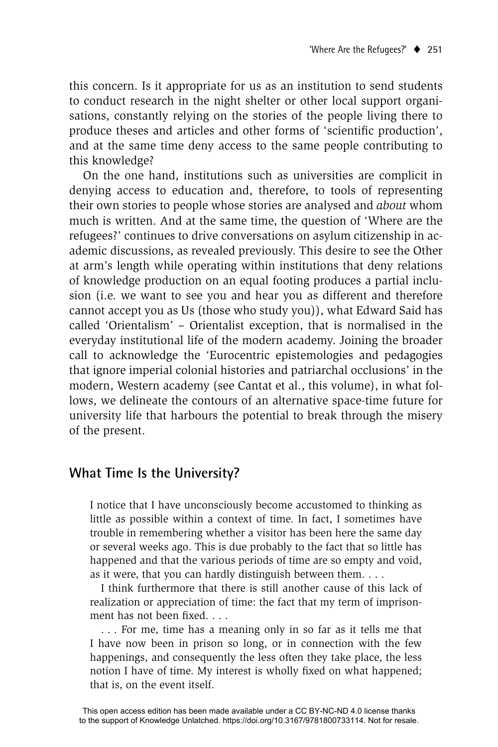this concern. Is it appropriate for us as an institution to send students to conduct research in the night shelter or other local support organisations, constantly relying on the stories of the people living there to produce theses and articles and other forms of 'scientific production', and at the same time deny access to the same people contributing to this knowledge?

On the one hand, institutions such as universities are complicit in denying access to education and, therefore, to tools of representing their own stories to people whose stories are analysed and *about* whom much is written. And at the same time, the question of 'Where are the refugees?' continues to drive conversations on asylum citizenship in academic discussions, as revealed previously. This desire to see the Other at arm's length while operating within institutions that deny relations of knowledge production on an equal footing produces a partial inclusion (i.e. we want to see you and hear you as different and therefore cannot accept you as Us (those who study you)), what Edward Said has called 'Orientalism' – Orientalist exception, that is normalised in the everyday institutional life of the modern academy. Joining the broader call to acknowledge the 'Eurocentric epistemologies and pedagogies that ignore imperial colonial histories and patriarchal occlusions' in the modern, Western academy (see Cantat et al., this volume), in what follows, we delineate the contours of an alternative space-time future for university life that harbours the potential to break through the misery of the present.

### **What Time Is the University?**

I notice that I have unconsciously become accustomed to thinking as little as possible within a context of time. In fact, I sometimes have trouble in remembering whether a visitor has been here the same day or several weeks ago. This is due probably to the fact that so little has happened and that the various periods of time are so empty and void, as it were, that you can hardly distinguish between them. . . .

 I think furthermore that there is still another cause of this lack of realization or appreciation of time: the fact that my term of imprisonment has not been fixed

 . . . For me, time has a meaning only in so far as it tells me that I have now been in prison so long, or in connection with the few happenings, and consequently the less often they take place, the less notion I have of time. My interest is wholly fixed on what happened; that is, on the event itself.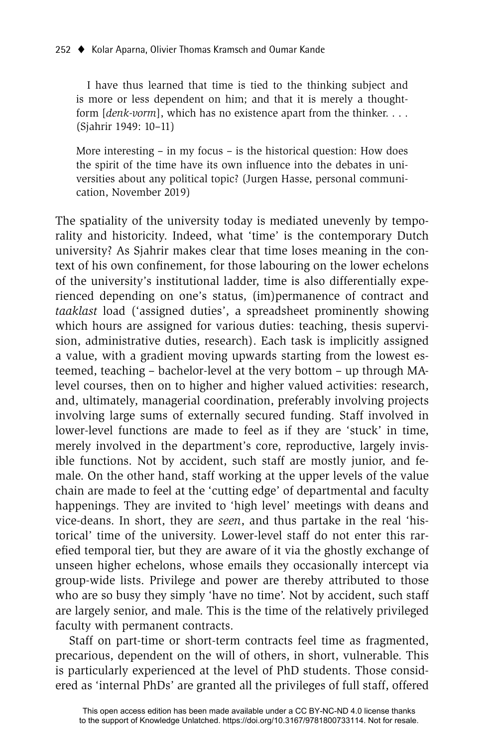I have thus learned that time is tied to the thinking subject and is more or less dependent on him; and that it is merely a thoughtform [*denk-vorm*], which has no existence apart from the thinker. . . . (Sjahrir 1949: 10–11)

More interesting – in my focus – is the historical question: How does the spirit of the time have its own influence into the debates in universities about any political topic? (Jurgen Hasse, personal communication, November 2019)

The spatiality of the university today is mediated unevenly by temporality and historicity. Indeed, what 'time' is the contemporary Dutch university? As Sjahrir makes clear that time loses meaning in the context of his own confinement, for those labouring on the lower echelons of the university's institutional ladder, time is also differentially experienced depending on one's status, (im)permanence of contract and *taaklast* load ('assigned duties', a spreadsheet prominently showing which hours are assigned for various duties: teaching, thesis supervision, administrative duties, research). Each task is implicitly assigned a value, with a gradient moving upwards starting from the lowest esteemed, teaching – bachelor-level at the very bottom – up through MAlevel courses, then on to higher and higher valued activities: research, and, ultimately, managerial coordination, preferably involving projects involving large sums of externally secured funding. Staff involved in lower-level functions are made to feel as if they are 'stuck' in time, merely involved in the department's core, reproductive, largely invisible functions. Not by accident, such staff are mostly junior, and female. On the other hand, staff working at the upper levels of the value chain are made to feel at the 'cutting edge' of departmental and faculty happenings. They are invited to 'high level' meetings with deans and vice-deans. In short, they are *seen*, and thus partake in the real 'historical' time of the university. Lower-level staff do not enter this rarefied temporal tier, but they are aware of it via the ghostly exchange of unseen higher echelons, whose emails they occasionally intercept via group-wide lists. Privilege and power are thereby attributed to those who are so busy they simply 'have no time'. Not by accident, such staff are largely senior, and male. This is the time of the relatively privileged faculty with permanent contracts.

Staff on part-time or short-term contracts feel time as fragmented, precarious, dependent on the will of others, in short, vulnerable. This is particularly experienced at the level of PhD students. Those considered as 'internal PhDs' are granted all the privileges of full staff, offered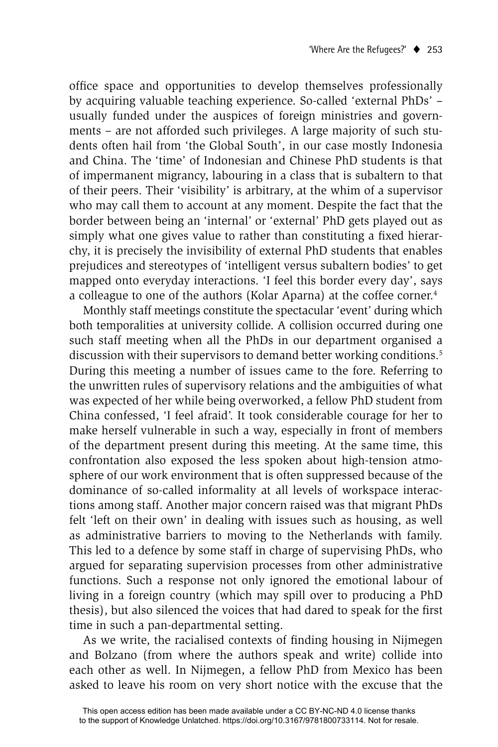office space and opportunities to develop themselves professionally by acquiring valuable teaching experience. So-called 'external PhDs' – usually funded under the auspices of foreign ministries and governments – are not afforded such privileges. A large majority of such students often hail from 'the Global South', in our case mostly Indonesia and China. The 'time' of Indonesian and Chinese PhD students is that of impermanent migrancy, labouring in a class that is subaltern to that of their peers. Their 'visibility' is arbitrary, at the whim of a supervisor who may call them to account at any moment. Despite the fact that the border between being an 'internal' or 'external' PhD gets played out as simply what one gives value to rather than constituting a fixed hierarchy, it is precisely the invisibility of external PhD students that enables prejudices and stereotypes of 'intelligent versus subaltern bodies' to get mapped onto everyday interactions. 'I feel this border every day', says a colleague to one of the authors (Kolar Aparna) at the coffee corner.4

Monthly staff meetings constitute the spectacular 'event' during which both temporalities at university collide. A collision occurred during one such staff meeting when all the PhDs in our department organised a discussion with their supervisors to demand better working conditions.<sup>5</sup> During this meeting a number of issues came to the fore. Referring to the unwritten rules of supervisory relations and the ambiguities of what was expected of her while being overworked, a fellow PhD student from China confessed, 'I feel afraid'. It took considerable courage for her to make herself vulnerable in such a way, especially in front of members of the department present during this meeting. At the same time, this confrontation also exposed the less spoken about high-tension atmosphere of our work environment that is often suppressed because of the dominance of so-called informality at all levels of workspace interactions among staff. Another major concern raised was that migrant PhDs felt 'left on their own' in dealing with issues such as housing, as well as administrative barriers to moving to the Netherlands with family. This led to a defence by some staff in charge of supervising PhDs, who argued for separating supervision processes from other administrative functions. Such a response not only ignored the emotional labour of living in a foreign country (which may spill over to producing a PhD thesis), but also silenced the voices that had dared to speak for the first time in such a pan-departmental setting.

As we write, the racialised contexts of finding housing in Nijmegen and Bolzano (from where the authors speak and write) collide into each other as well. In Nijmegen, a fellow PhD from Mexico has been asked to leave his room on very short notice with the excuse that the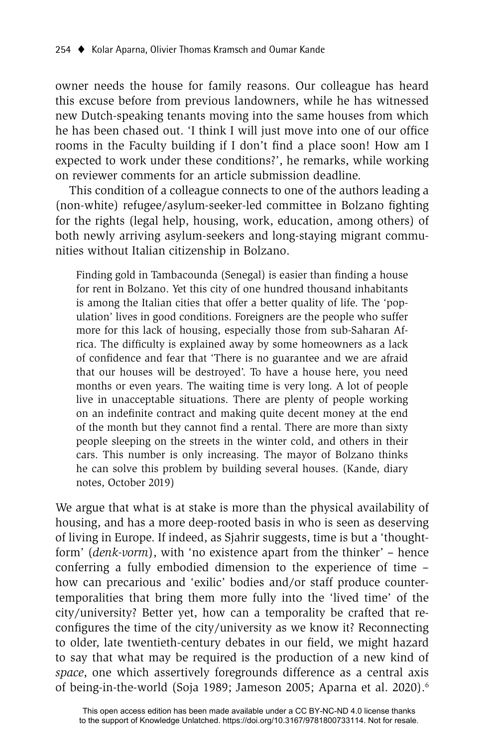owner needs the house for family reasons. Our colleague has heard this excuse before from previous landowners, while he has witnessed new Dutch-speaking tenants moving into the same houses from which he has been chased out. 'I think I will just move into one of our office rooms in the Faculty building if I don't find a place soon! How am I expected to work under these conditions?', he remarks, while working on reviewer comments for an article submission deadline.

This condition of a colleague connects to one of the authors leading a (non-white) refugee/asylum-seeker-led committee in Bolzano fighting for the rights (legal help, housing, work, education, among others) of both newly arriving asylum-seekers and long-staying migrant communities without Italian citizenship in Bolzano.

Finding gold in Tambacounda (Senegal) is easier than finding a house for rent in Bolzano. Yet this city of one hundred thousand inhabitants is among the Italian cities that offer a better quality of life. The 'population' lives in good conditions. Foreigners are the people who suffer more for this lack of housing, especially those from sub-Saharan Africa. The difficulty is explained away by some homeowners as a lack of confidence and fear that 'There is no guarantee and we are afraid that our houses will be destroyed'. To have a house here, you need months or even years. The waiting time is very long. A lot of people live in unacceptable situations. There are plenty of people working on an indefinite contract and making quite decent money at the end of the month but they cannot find a rental. There are more than sixty people sleeping on the streets in the winter cold, and others in their cars. This number is only increasing. The mayor of Bolzano thinks he can solve this problem by building several houses. (Kande, diary notes, October 2019)

We argue that what is at stake is more than the physical availability of housing, and has a more deep-rooted basis in who is seen as deserving of living in Europe. If indeed, as Sjahrir suggests, time is but a 'thoughtform' (*denk-vorm*), with 'no existence apart from the thinker' – hence conferring a fully embodied dimension to the experience of time – how can precarious and 'exilic' bodies and/or staff produce countertemporalities that bring them more fully into the 'lived time' of the city/university? Better yet, how can a temporality be crafted that reconfigures the time of the city/university as we know it? Reconnecting to older, late twentieth-century debates in our field, we might hazard to say that what may be required is the production of a new kind of *space*, one which assertively foregrounds difference as a central axis of being-in-the-world (Soja 1989; Jameson 2005; Aparna et al. 2020).<sup>6</sup>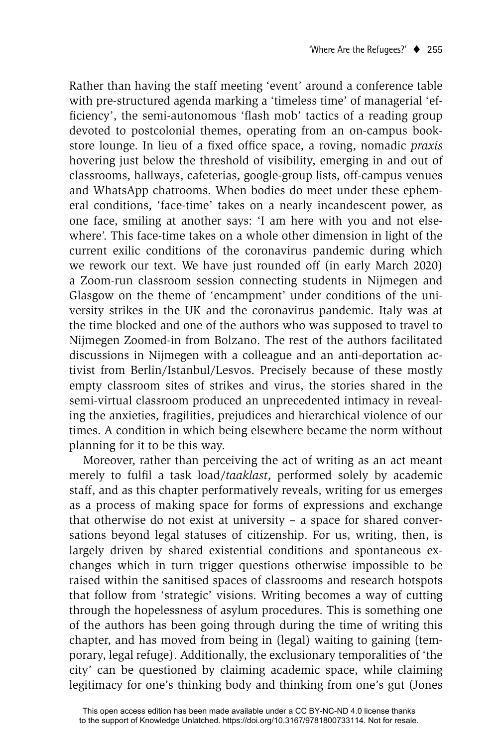Rather than having the staff meeting 'event' around a conference table with pre-structured agenda marking a 'timeless time' of managerial 'efficiency', the semi-autonomous 'flash mob' tactics of a reading group devoted to postcolonial themes, operating from an on-campus bookstore lounge. In lieu of a fixed office space, a roving, nomadic *praxis* hovering just below the threshold of visibility, emerging in and out of classrooms, hallways, cafeterias, google-group lists, off-campus venues and WhatsApp chatrooms. When bodies do meet under these ephemeral conditions, 'face-time' takes on a nearly incandescent power, as one face, smiling at another says: 'I am here with you and not elsewhere'. This face-time takes on a whole other dimension in light of the current exilic conditions of the coronavirus pandemic during which we rework our text. We have just rounded off (in early March 2020) a Zoom-run classroom session connecting students in Nijmegen and Glasgow on the theme of 'encampment' under conditions of the university strikes in the UK and the coronavirus pandemic. Italy was at the time blocked and one of the authors who was supposed to travel to Nijmegen Zoomed-in from Bolzano. The rest of the authors facilitated discussions in Nijmegen with a colleague and an anti-deportation activist from Berlin/Istanbul/Lesvos. Precisely because of these mostly empty classroom sites of strikes and virus, the stories shared in the semi-virtual classroom produced an unprecedented intimacy in revealing the anxieties, fragilities, prejudices and hierarchical violence of our times. A condition in which being elsewhere became the norm without planning for it to be this way.

Moreover, rather than perceiving the act of writing as an act meant merely to fulfil a task load/taaklast, performed solely by academic staff, and as this chapter performatively reveals, writing for us emerges as a process of making space for forms of expressions and exchange that otherwise do not exist at university – a space for shared conversations beyond legal statuses of citizenship. For us, writing, then, is largely driven by shared existential conditions and spontaneous exchanges which in turn trigger questions otherwise impossible to be raised within the sanitised spaces of classrooms and research hotspots that follow from 'strategic' visions. Writing becomes a way of cutting through the hopelessness of asylum procedures. This is something one of the authors has been going through during the time of writing this chapter, and has moved from being in (legal) waiting to gaining (temporary, legal refuge). Additionally, the exclusionary temporalities of 'the city' can be questioned by claiming academic space, while claiming legitimacy for one's thinking body and thinking from one's gut (Jones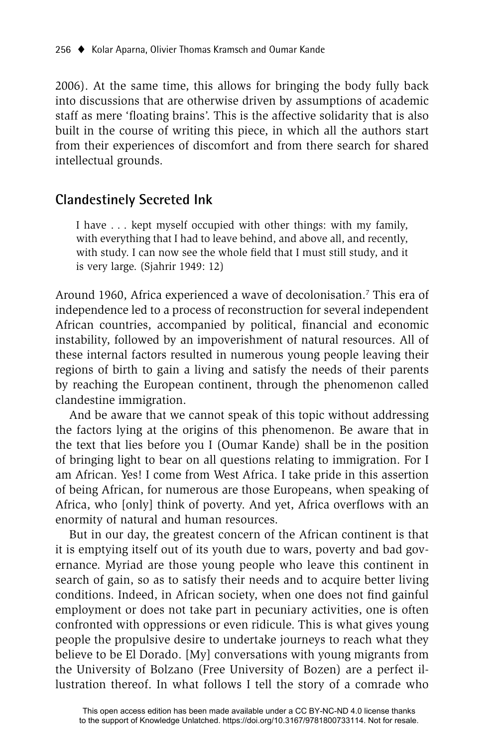2006). At the same time, this allows for bringing the body fully back into discussions that are otherwise driven by assumptions of academic staff as mere 'floating brains'. This is the affective solidarity that is also built in the course of writing this piece, in which all the authors start from their experiences of discomfort and from there search for shared intellectual grounds.

## **Clandestinely Secreted Ink**

I have . . . kept myself occupied with other things: with my family, with everything that I had to leave behind, and above all, and recently, with study. I can now see the whole field that I must still study, and it is very large. (Sjahrir 1949: 12)

Around 1960, Africa experienced a wave of decolonisation.<sup>7</sup> This era of independence led to a process of reconstruction for several independent African countries, accompanied by political, financial and economic instability, followed by an impoverishment of natural resources. All of these internal factors resulted in numerous young people leaving their regions of birth to gain a living and satisfy the needs of their parents by reaching the European continent, through the phenomenon called clandestine immigration.

And be aware that we cannot speak of this topic without addressing the factors lying at the origins of this phenomenon. Be aware that in the text that lies before you I (Oumar Kande) shall be in the position of bringing light to bear on all questions relating to immigration. For I am African. Yes! I come from West Africa. I take pride in this assertion of being African, for numerous are those Europeans, when speaking of Africa, who [only] think of poverty. And yet, Africa overflows with an enormity of natural and human resources.

But in our day, the greatest concern of the African continent is that it is emptying itself out of its youth due to wars, poverty and bad governance. Myriad are those young people who leave this continent in search of gain, so as to satisfy their needs and to acquire better living conditions. Indeed, in African society, when one does not find gainful employment or does not take part in pecuniary activities, one is often confronted with oppressions or even ridicule. This is what gives young people the propulsive desire to undertake journeys to reach what they believe to be El Dorado. [My] conversations with young migrants from the University of Bolzano (Free University of Bozen) are a perfect illustration thereof. In what follows I tell the story of a comrade who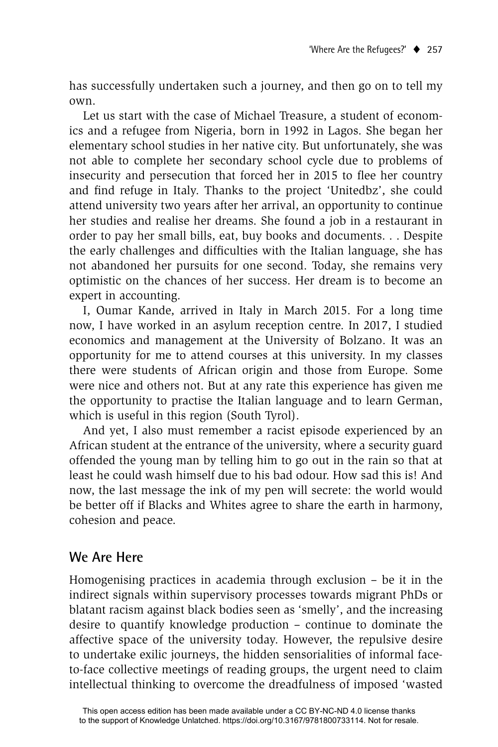has successfully undertaken such a journey, and then go on to tell my own.

Let us start with the case of Michael Treasure, a student of economics and a refugee from Nigeria, born in 1992 in Lagos. She began her elementary school studies in her native city. But unfortunately, she was not able to complete her secondary school cycle due to problems of insecurity and persecution that forced her in 2015 to flee her country and find refuge in Italy. Thanks to the project 'Unitedbz', she could attend university two years after her arrival, an opportunity to continue her studies and realise her dreams. She found a job in a restaurant in order to pay her small bills, eat, buy books and documents. . . Despite the early challenges and difficulties with the Italian language, she has not abandoned her pursuits for one second. Today, she remains very optimistic on the chances of her success. Her dream is to become an expert in accounting.

I, Oumar Kande, arrived in Italy in March 2015. For a long time now, I have worked in an asylum reception centre. In 2017, I studied economics and management at the University of Bolzano. It was an opportunity for me to attend courses at this university. In my classes there were students of African origin and those from Europe. Some were nice and others not. But at any rate this experience has given me the opportunity to practise the Italian language and to learn German, which is useful in this region (South Tyrol).

And yet, I also must remember a racist episode experienced by an African student at the entrance of the university, where a security guard offended the young man by telling him to go out in the rain so that at least he could wash himself due to his bad odour. How sad this is! And now, the last message the ink of my pen will secrete: the world would be better off if Blacks and Whites agree to share the earth in harmony, cohesion and peace.

# **We Are Here**

Homogenising practices in academia through exclusion – be it in the indirect signals within supervisory processes towards migrant PhDs or blatant racism against black bodies seen as 'smelly', and the increasing desire to quantify knowledge production – continue to dominate the affective space of the university today. However, the repulsive desire to undertake exilic journeys, the hidden sensorialities of informal faceto-face collective meetings of reading groups, the urgent need to claim intellectual thinking to overcome the dreadfulness of imposed 'wasted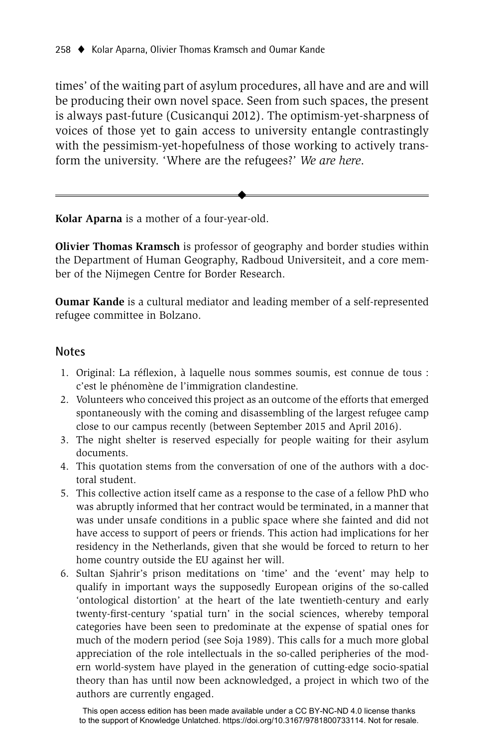times' of the waiting part of asylum procedures, all have and are and will be producing their own novel space. Seen from such spaces, the present is always past-future (Cusicanqui 2012). The optimism-yet-sharpness of voices of those yet to gain access to university entangle contrastingly with the pessimism-yet-hopefulness of those working to actively transform the university. 'Where are the refugees?' *We are here*.

**Kolar Aparna** is a mother of a four-year-old.

**Olivier Thomas Kramsch** is professor of geography and border studies within the Department of Human Geography, Radboud Universiteit, and a core member of the Nijmegen Centre for Border Research.

 $\ddot{\bullet}$ 

**Oumar Kande** is a cultural mediator and leading member of a self-represented refugee committee in Bolzano.

#### **Notes**

- 1. Original: La réflexion, à laquelle nous sommes soumis, est connue de tous : c'est le phénomène de l'immigration clandestine.
- 2. Volunteers who conceived this project as an outcome of the efforts that emerged spontaneously with the coming and disassembling of the largest refugee camp close to our campus recently (between September 2015 and April 2016).
- 3. The night shelter is reserved especially for people waiting for their asylum documents.
- 4. This quotation stems from the conversation of one of the authors with a doctoral student.
- 5. This collective action itself came as a response to the case of a fellow PhD who was abruptly informed that her contract would be terminated, in a manner that was under unsafe conditions in a public space where she fainted and did not have access to support of peers or friends. This action had implications for her residency in the Netherlands, given that she would be forced to return to her home country outside the EU against her will.
- 6. Sultan Sjahrir's prison meditations on 'time' and the 'event' may help to qualify in important ways the supposedly European origins of the so-called 'ontological distortion' at the heart of the late twentieth-century and early twenty-first-century 'spatial turn' in the social sciences, whereby temporal categories have been seen to predominate at the expense of spatial ones for much of the modern period (see Soja 1989). This calls for a much more global appreciation of the role intellectuals in the so-called peripheries of the modern world-system have played in the generation of cutting-edge socio-spatial theory than has until now been acknowledged, a project in which two of the authors are currently engaged.

This open access edition has been made available under a CC BY-NC-ND 4.0 license thanks to the support of Knowledge Unlatched. https://doi.org/10.3167/9781800733114. Not for resale.